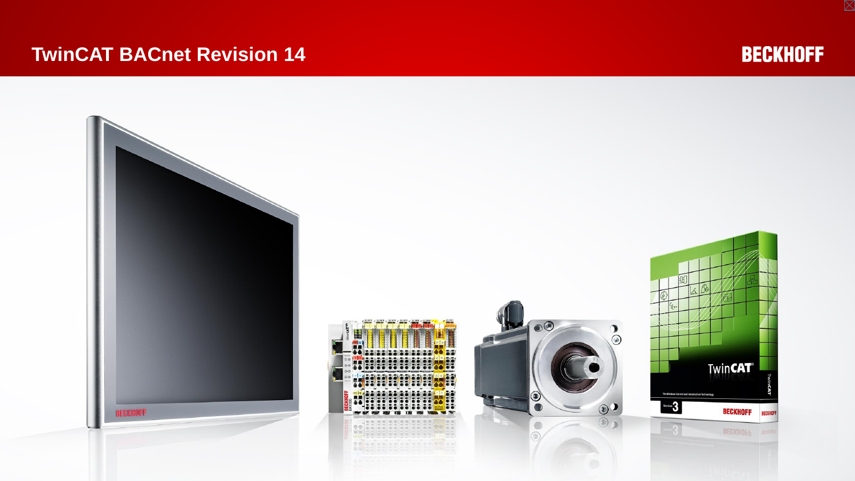#### **TwinCAT BACnet Revision 14**



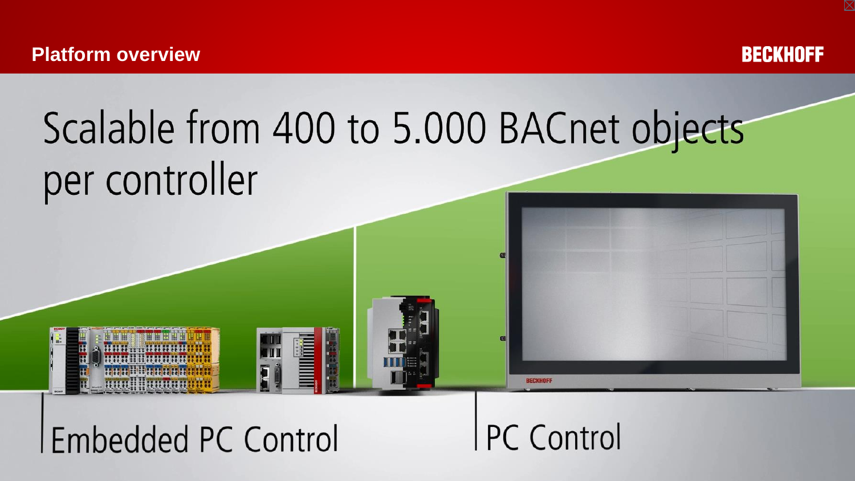

# Scalable from 400 to 5.000 BACnet objects per controller



HHHAAHHH

**THE SERVE** 

**PC Control** 

**RECKHOE**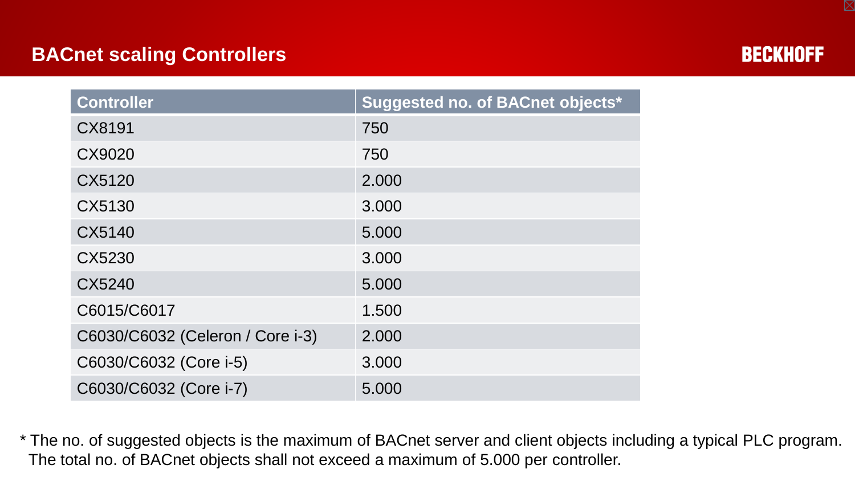## **BACnet scaling Controllers**



| <b>Controller</b>                | Suggested no. of BACnet objects* |
|----------------------------------|----------------------------------|
| CX8191                           | 750                              |
| CX9020                           | 750                              |
| CX5120                           | 2.000                            |
| CX5130                           | 3.000                            |
| CX5140                           | 5.000                            |
| CX5230                           | 3.000                            |
| CX5240                           | 5.000                            |
| C6015/C6017                      | 1.500                            |
| C6030/C6032 (Celeron / Core i-3) | 2.000                            |
| C6030/C6032 (Core i-5)           | 3.000                            |
| C6030/C6032 (Core i-7)           | 5.000                            |

\* The no. of suggested objects is the maximum of BACnet server and client objects including a typical PLC program. The total no. of BACnet objects shall not exceed a maximum of 5.000 per controller.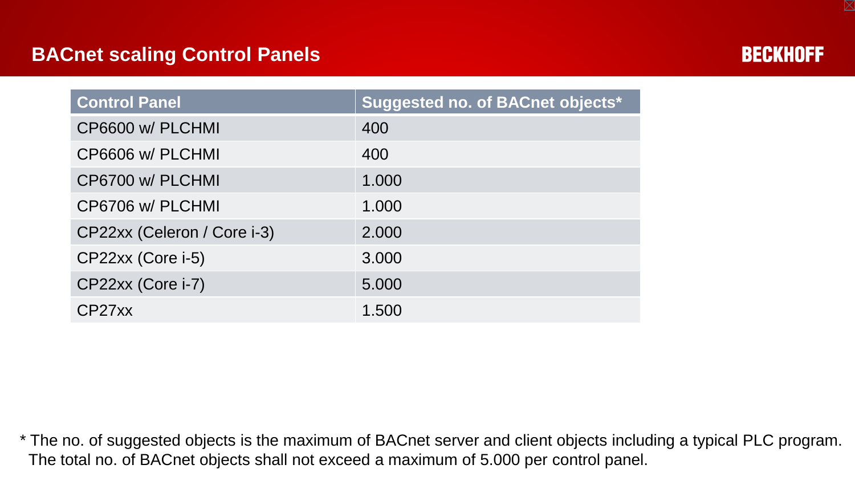## **BACnet scaling Control Panels**



| <b>Control Panel</b>        | Suggested no. of BACnet objects* |
|-----------------------------|----------------------------------|
| CP6600 w/ PLCHMI            | 400                              |
| CP6606 w/ PLCHMI            | 400                              |
| CP6700 w/ PLCHMI            | 1.000                            |
| CP6706 w/ PLCHMI            | 1.000                            |
| CP22xx (Celeron / Core i-3) | 2.000                            |
| CP22xx (Core i-5)           | 3.000                            |
| CP22xx (Core i-7)           | 5.000                            |
| CP27xx                      | 1.500                            |

\* The no. of suggested objects is the maximum of BACnet server and client objects including a typical PLC program. The total no. of BACnet objects shall not exceed a maximum of 5.000 per control panel.